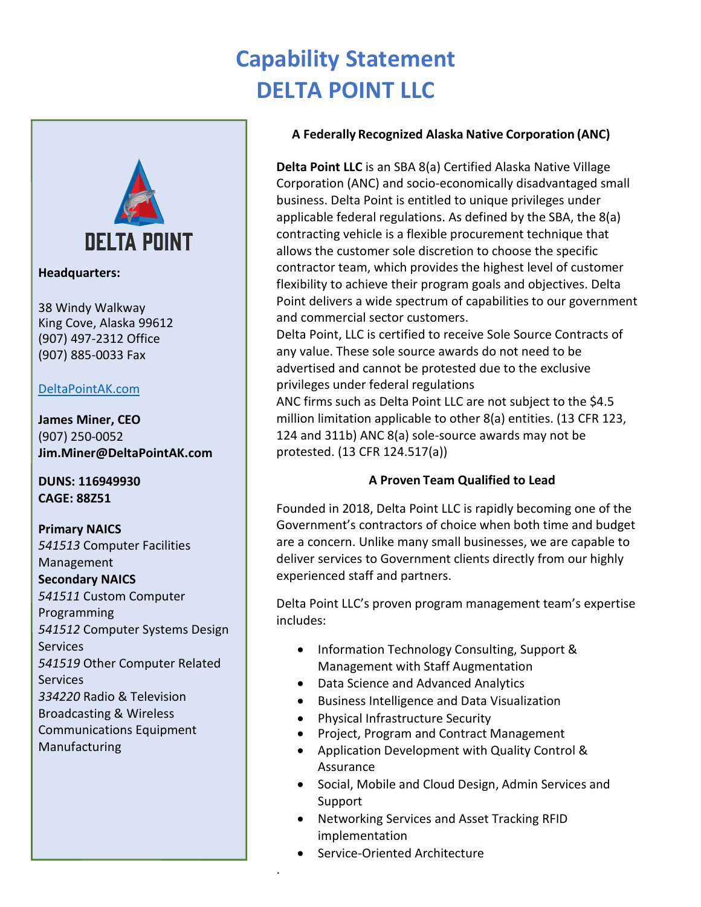## **Capability Statement DELTA POINT LLC**



**Headquarters:**

38 Windy Walkway King Cove, Alaska 99612 (907) 497-2312 Office (907) 885-0033 Fax

#### [DeltaPointAK.com](https://deltapointak.com/)

**James Miner, CEO** (907) 250-0052 **Jim.Miner@DeltaPointAK.com**

**DUNS: 116949930 CAGE: 88Z51**

**Primary NAICS** *541513* Computer Facilities Management **Secondary NAICS** *541511* Custom Computer Programming *541512* Computer Systems Design Services *541519* Other Computer Related Services *334220* Radio & Television Broadcasting & Wireless Communications Equipment Manufacturing

#### **A Federally Recognized Alaska Native Corporation (ANC)**

**Delta Point LLC** is an SBA 8(a) Certified Alaska Native Village Corporation (ANC) and socio-economically disadvantaged small business. Delta Point is entitled to unique privileges under applicable federal regulations. As defined by the SBA, the 8(a) contracting vehicle is a flexible procurement technique that allows the customer sole discretion to choose the specific contractor team, which provides the highest level of customer flexibility to achieve their program goals and objectives. Delta Point delivers a wide spectrum of capabilities to our government and commercial sector customers.

Delta Point, LLC is certified to receive Sole Source Contracts of any value. These sole source awards do not need to be advertised and cannot be protested due to the exclusive privileges under federal regulations

ANC firms such as Delta Point LLC are not subject to the \$4.5 million limitation applicable to other 8(a) entities. (13 CFR 123, 124 and 311b) ANC 8(a) sole-source awards may not be protested. (13 CFR 124.517(a))

#### **A Proven Team Qualified to Lead**

Founded in 2018, Delta Point LLC is rapidly becoming one of the Government's contractors of choice when both time and budget are a concern. Unlike many small businesses, we are capable to deliver services to Government clients directly from our highly experienced staff and partners.

Delta Point LLC's proven program management team's expertise includes:

- Information Technology Consulting, Support & Management with Staff Augmentation
- Data Science and Advanced Analytics
- Business Intelligence and Data Visualization
- Physical Infrastructure Security
- Project, Program and Contract Management
- Application Development with Quality Control & Assurance
- Social, Mobile and Cloud Design, Admin Services and Support
- Networking Services and Asset Tracking RFID implementation
- Service-Oriented Architecture

.